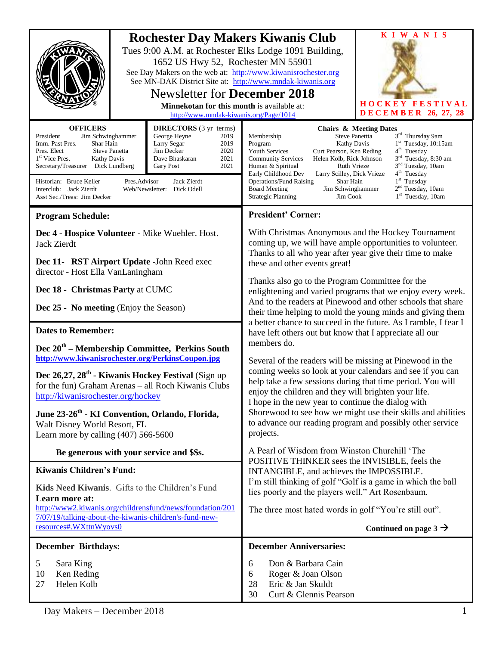|                                                                                                                                                                                                                                                                                                                                                                                                                                                                                                                         | <b>Rochester Day Makers Kiwanis Club</b><br>Tues 9:00 A.M. at Rochester Elks Lodge 1091 Building,<br>1652 US Hwy 52, Rochester MN 55901<br>See Day Makers on the web at: http://www.kiwanisrochester.org<br>See MN-DAK District Site at: http://www.mndak-kiwanis.org<br><b>Newsletter for December 2018</b><br>Minnekotan for this month is available at:<br>http://www.mndak-kiwanis.org/Page/1014 |                                                                                                               |                                                                                                                                                                                                                                                                                                                                                                                                                                                                                                                                                                                                                                                                                                                                                                                                                                                                                                                                                                                                                                                          | <b>KIWANIS</b><br><b>HOCKEY FESTIVAL</b><br><b>DECEMBER 26, 27, 28</b>                                                                                                                                                                                                                          |
|-------------------------------------------------------------------------------------------------------------------------------------------------------------------------------------------------------------------------------------------------------------------------------------------------------------------------------------------------------------------------------------------------------------------------------------------------------------------------------------------------------------------------|------------------------------------------------------------------------------------------------------------------------------------------------------------------------------------------------------------------------------------------------------------------------------------------------------------------------------------------------------------------------------------------------------|---------------------------------------------------------------------------------------------------------------|----------------------------------------------------------------------------------------------------------------------------------------------------------------------------------------------------------------------------------------------------------------------------------------------------------------------------------------------------------------------------------------------------------------------------------------------------------------------------------------------------------------------------------------------------------------------------------------------------------------------------------------------------------------------------------------------------------------------------------------------------------------------------------------------------------------------------------------------------------------------------------------------------------------------------------------------------------------------------------------------------------------------------------------------------------|-------------------------------------------------------------------------------------------------------------------------------------------------------------------------------------------------------------------------------------------------------------------------------------------------|
| <b>OFFICERS</b><br><b>DIRECTORS</b> (3 yr terms)<br>President<br>Jim Schwinghammer<br>George Heyne<br>2019<br>Shar Hain<br>Imm. Past Pres.<br>Larry Segar<br>2019<br>Jim Decker<br>2020<br>Pres. Elect<br><b>Steve Panetta</b><br>1 <sup>st</sup> Vice Pres.<br>2021<br><b>Kathy Davis</b><br>Dave Bhaskaran<br>Secretary/Treasurer Dick Lundberg<br>2021<br>Gary Post<br>Pres.Advisor<br>Jack Zierdt<br>Historian: Bruce Keller<br>Interclub: Jack Zierdt<br>Web/Newsletter: Dick Odell<br>Asst Sec./Treas: Jim Decker |                                                                                                                                                                                                                                                                                                                                                                                                      |                                                                                                               | <b>Steve Panettta</b><br>Membership<br>Program<br><b>Kathy Davis</b><br><b>Youth Services</b><br>Curt Pearson, Ken Reding<br>Helen Kolb, Rick Johnson<br><b>Community Services</b><br>Human & Spiritual<br><b>Ruth Vrieze</b><br>Early Childhood Dev<br>Larry Scilley, Dick Vrieze<br><b>Operations/Fund Raising</b><br>Shar Hain<br>Jim Schwinghammer<br><b>Board Meeting</b><br><b>Strategic Planning</b><br>Jim Cook                                                                                                                                                                                                                                                                                                                                                                                                                                                                                                                                                                                                                                  | <b>Chairs &amp; Meeting Dates</b><br>3 <sup>rd</sup> Thursday 9am<br>$1st$ Tuesday, 10:15am<br>4 <sup>th</sup> Tuesday<br>3 <sup>rd</sup> Tuesday, 8:30 am<br>3 <sup>nd</sup> Tuesday, 10am<br>4 <sup>th</sup> Tuesday<br>$1st$ Tuesday<br>2 <sup>nd</sup> Tuesday, 10am<br>$1st$ Tuesday, 10am |
| <b>Program Schedule:</b>                                                                                                                                                                                                                                                                                                                                                                                                                                                                                                |                                                                                                                                                                                                                                                                                                                                                                                                      |                                                                                                               | <b>President' Corner:</b>                                                                                                                                                                                                                                                                                                                                                                                                                                                                                                                                                                                                                                                                                                                                                                                                                                                                                                                                                                                                                                |                                                                                                                                                                                                                                                                                                 |
| Dec 4 - Hospice Volunteer - Mike Wuehler. Host.<br><b>Jack Zierdt</b>                                                                                                                                                                                                                                                                                                                                                                                                                                                   |                                                                                                                                                                                                                                                                                                                                                                                                      |                                                                                                               | With Christmas Anonymous and the Hockey Tournament<br>coming up, we will have ample opportunities to volunteer.<br>Thanks to all who year after year give their time to make<br>these and other events great!<br>Thanks also go to the Program Committee for the<br>enlightening and varied programs that we enjoy every week.<br>And to the readers at Pinewood and other schools that share<br>their time helping to mold the young minds and giving them<br>a better chance to succeed in the future. As I ramble, I fear I<br>have left others out but know that I appreciate all our<br>members do.<br>Several of the readers will be missing at Pinewood in the<br>coming weeks so look at your calendars and see if you can<br>help take a few sessions during that time period. You will<br>enjoy the children and they will brighten your life.<br>I hope in the new year to continue the dialog with<br>Shorewood to see how we might use their skills and abilities<br>to advance our reading program and possibly other service<br>projects. |                                                                                                                                                                                                                                                                                                 |
| Dec 11- RST Airport Update - John Reed exec<br>director - Host Ella VanLaningham                                                                                                                                                                                                                                                                                                                                                                                                                                        |                                                                                                                                                                                                                                                                                                                                                                                                      |                                                                                                               |                                                                                                                                                                                                                                                                                                                                                                                                                                                                                                                                                                                                                                                                                                                                                                                                                                                                                                                                                                                                                                                          |                                                                                                                                                                                                                                                                                                 |
| Dec 18 - Christmas Party at CUMC                                                                                                                                                                                                                                                                                                                                                                                                                                                                                        |                                                                                                                                                                                                                                                                                                                                                                                                      |                                                                                                               |                                                                                                                                                                                                                                                                                                                                                                                                                                                                                                                                                                                                                                                                                                                                                                                                                                                                                                                                                                                                                                                          |                                                                                                                                                                                                                                                                                                 |
| Dec 25 - No meeting (Enjoy the Season)                                                                                                                                                                                                                                                                                                                                                                                                                                                                                  |                                                                                                                                                                                                                                                                                                                                                                                                      |                                                                                                               |                                                                                                                                                                                                                                                                                                                                                                                                                                                                                                                                                                                                                                                                                                                                                                                                                                                                                                                                                                                                                                                          |                                                                                                                                                                                                                                                                                                 |
| <b>Dates to Remember:</b>                                                                                                                                                                                                                                                                                                                                                                                                                                                                                               |                                                                                                                                                                                                                                                                                                                                                                                                      |                                                                                                               |                                                                                                                                                                                                                                                                                                                                                                                                                                                                                                                                                                                                                                                                                                                                                                                                                                                                                                                                                                                                                                                          |                                                                                                                                                                                                                                                                                                 |
| Dec 20 <sup>th</sup> – Membership Committee, Perkins South<br>http://www.kiwanisrochester.org/PerkinsCoupon.jpg                                                                                                                                                                                                                                                                                                                                                                                                         |                                                                                                                                                                                                                                                                                                                                                                                                      |                                                                                                               |                                                                                                                                                                                                                                                                                                                                                                                                                                                                                                                                                                                                                                                                                                                                                                                                                                                                                                                                                                                                                                                          |                                                                                                                                                                                                                                                                                                 |
| Dec 26,27, 28 <sup>th</sup> - Kiwanis Hockey Festival (Sign up<br>for the fun) Graham Arenas - all Roch Kiwanis Clubs<br>http://kiwanisrochester.org/hockey                                                                                                                                                                                                                                                                                                                                                             |                                                                                                                                                                                                                                                                                                                                                                                                      |                                                                                                               |                                                                                                                                                                                                                                                                                                                                                                                                                                                                                                                                                                                                                                                                                                                                                                                                                                                                                                                                                                                                                                                          |                                                                                                                                                                                                                                                                                                 |
| June 23-26 <sup>th</sup> - KI Convention, Orlando, Florida,<br>Walt Disney World Resort, FL<br>Learn more by calling $(407)$ 566-5600                                                                                                                                                                                                                                                                                                                                                                                   |                                                                                                                                                                                                                                                                                                                                                                                                      |                                                                                                               |                                                                                                                                                                                                                                                                                                                                                                                                                                                                                                                                                                                                                                                                                                                                                                                                                                                                                                                                                                                                                                                          |                                                                                                                                                                                                                                                                                                 |
| Be generous with your service and \$\$s.                                                                                                                                                                                                                                                                                                                                                                                                                                                                                |                                                                                                                                                                                                                                                                                                                                                                                                      |                                                                                                               | A Pearl of Wisdom from Winston Churchill 'The<br>POSITIVE THINKER sees the INVISIBLE, feels the<br>INTANGIBLE, and achieves the IMPOSSIBLE.<br>I'm still thinking of golf "Golf is a game in which the ball<br>lies poorly and the players well." Art Rosenbaum.<br>The three most hated words in golf "You're still out".<br>Continued on page $3 \rightarrow$                                                                                                                                                                                                                                                                                                                                                                                                                                                                                                                                                                                                                                                                                          |                                                                                                                                                                                                                                                                                                 |
| <b>Kiwanis Children's Fund:</b>                                                                                                                                                                                                                                                                                                                                                                                                                                                                                         |                                                                                                                                                                                                                                                                                                                                                                                                      |                                                                                                               |                                                                                                                                                                                                                                                                                                                                                                                                                                                                                                                                                                                                                                                                                                                                                                                                                                                                                                                                                                                                                                                          |                                                                                                                                                                                                                                                                                                 |
| Kids Need Kiwanis. Gifts to the Children's Fund<br>Learn more at:<br>http://www2.kiwanis.org/childrensfund/news/foundation/201<br>7/07/19/talking-about-the-kiwanis-children's-fund-new-                                                                                                                                                                                                                                                                                                                                |                                                                                                                                                                                                                                                                                                                                                                                                      |                                                                                                               |                                                                                                                                                                                                                                                                                                                                                                                                                                                                                                                                                                                                                                                                                                                                                                                                                                                                                                                                                                                                                                                          |                                                                                                                                                                                                                                                                                                 |
|                                                                                                                                                                                                                                                                                                                                                                                                                                                                                                                         |                                                                                                                                                                                                                                                                                                                                                                                                      | resources#.WXttnWyovs0                                                                                        |                                                                                                                                                                                                                                                                                                                                                                                                                                                                                                                                                                                                                                                                                                                                                                                                                                                                                                                                                                                                                                                          |                                                                                                                                                                                                                                                                                                 |
| <b>December Birthdays:</b>                                                                                                                                                                                                                                                                                                                                                                                                                                                                                              |                                                                                                                                                                                                                                                                                                                                                                                                      |                                                                                                               |                                                                                                                                                                                                                                                                                                                                                                                                                                                                                                                                                                                                                                                                                                                                                                                                                                                                                                                                                                                                                                                          |                                                                                                                                                                                                                                                                                                 |
| 5<br>Sara King<br>10<br>Ken Reding<br>Helen Kolb<br>27                                                                                                                                                                                                                                                                                                                                                                                                                                                                  |                                                                                                                                                                                                                                                                                                                                                                                                      | Don & Barbara Cain<br>6<br>Roger & Joan Olson<br>6<br>Eric & Jan Skuldt<br>28<br>30<br>Curt & Glennis Pearson |                                                                                                                                                                                                                                                                                                                                                                                                                                                                                                                                                                                                                                                                                                                                                                                                                                                                                                                                                                                                                                                          |                                                                                                                                                                                                                                                                                                 |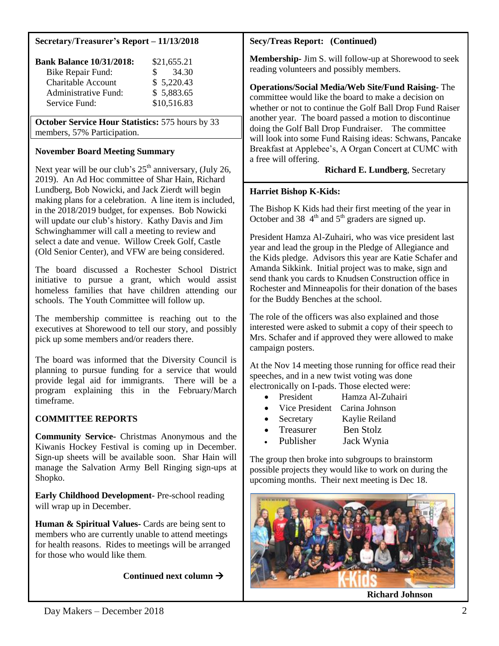## **Secretary/Treasurer's Report – 11/13/2018**

| <b>Bank Balance 10/31/2018:</b> | \$21,655.21 |
|---------------------------------|-------------|
| Bike Repair Fund:               | 34.30<br>S. |
| <b>Charitable Account</b>       | \$5,220.43  |
| Administrative Fund:            | \$5,883.65  |
| Service Fund:                   | \$10,516.83 |

**October Service Hour Statistics:** 575 hours by 33 members, 57% Participation.

# **November Board Meeting Summary**

Next year will be our club's  $25<sup>th</sup>$  anniversary, (July 26, 2019). An Ad Hoc committee of Shar Hain, Richard Lundberg, Bob Nowicki, and Jack Zierdt will begin making plans for a celebration. A line item is included, in the 2018/2019 budget, for expenses. Bob Nowicki will update our club's history. Kathy Davis and Jim Schwinghammer will call a meeting to review and select a date and venue. Willow Creek Golf, Castle (Old Senior Center), and VFW are being considered.

The board discussed a Rochester School District initiative to pursue a grant, which would assist homeless families that have children attending our schools. The Youth Committee will follow up.

The membership committee is reaching out to the executives at Shorewood to tell our story, and possibly pick up some members and/or readers there.

The board was informed that the Diversity Council is planning to pursue funding for a service that would provide legal aid for immigrants. There will be a program explaining this in the February/March timeframe.

# **COMMITTEE REPORTS**

**Community Service-** Christmas Anonymous and the Kiwanis Hockey Festival is coming up in December. Sign-up sheets will be available soon. Shar Hain will manage the Salvation Army Bell Ringing sign-ups at Shopko.

**Early Childhood Development-** Pre-school reading will wrap up in December.

**Human & Spiritual Values-** Cards are being sent to members who are currently unable to attend meetings for health reasons. Rides to meetings will be arranged for those who would like them.

**Continued next column**

#### **Secy/Treas Report: (Continued)**

**Membership-** Jim S. will follow-up at Shorewood to seek reading volunteers and possibly members.

**Operations/Social Media/Web Site/Fund Raising-** The committee would like the board to make a decision on whether or not to continue the Golf Ball Drop Fund Raiser another year. The board passed a motion to discontinue doing the Golf Ball Drop Fundraiser. The committee will look into some Fund Raising ideas: Schwans, Pancake Breakfast at Applebee's, A Organ Concert at CUMC with a free will offering.

## **Richard E. Lundberg**, Secretary

#### **Harriet Bishop K-Kids:**

The Bishop K Kids had their first meeting of the year in October and 38  $4<sup>th</sup>$  and  $5<sup>th</sup>$  graders are signed up.

President Hamza Al-Zuhairi, who was vice president last year and lead the group in the Pledge of Allegiance and the Kids pledge. Advisors this year are Katie Schafer and Amanda Sikkink. Initial project was to make, sign and send thank you cards to Knudsen Construction office in Rochester and Minneapolis for their donation of the bases for the Buddy Benches at the school.

The role of the officers was also explained and those interested were asked to submit a copy of their speech to Mrs. Schafer and if approved they were allowed to make campaign posters.

At the Nov 14 meeting those running for office read their speeches, and in a new twist voting was done electronically on I-pads. Those elected were:

- President Hamza Al-Zuhairi
- Vice President Carina Johnson
- Secretary Kaylie Reiland
- Treasurer Ben Stolz
- Publisher Jack Wynia

The group then broke into subgroups to brainstorm possible projects they would like to work on during the upcoming months. Their next meeting is Dec 18.

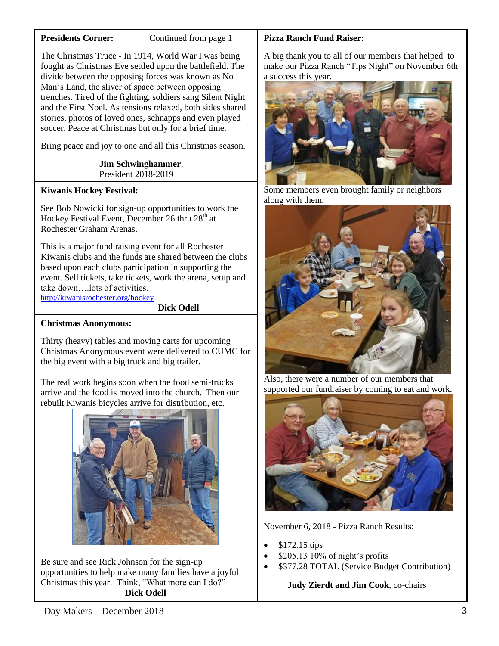## **Presidents Corner:** Continued from page 1

The Christmas Truce - In 1914, World War I was being fought as Christmas Eve settled upon the battlefield. The divide between the opposing forces was known as No Man's Land, the sliver of space between opposing trenches. Tired of the fighting, soldiers sang Silent Night and the First Noel. As tensions relaxed, both sides shared stories, photos of loved ones, schnapps and even played soccer. Peace at Christmas but only for a brief time.

Bring peace and joy to one and all this Christmas season.

 **Jim Schwinghammer**, President 2018-2019

# **Kiwanis Hockey Festival:**

See Bob Nowicki for sign-up opportunities to work the Hockey Festival Event, December 26 thru 28<sup>th</sup> at Rochester Graham Arenas.

This is a major fund raising event for all Rochester Kiwanis clubs and the funds are shared between the clubs based upon each clubs participation in supporting the event. Sell tickets, take tickets, work the arena, setup and take down….lots of activities. <http://kiwanisrochester.org/hockey>

**Dick Odell**

# **Christmas Anonymous:**

Thirty (heavy) tables and moving carts for upcoming Christmas Anonymous event were delivered to CUMC for the big event with a big truck and big trailer.

The real work begins soon when the food semi-trucks arrive and the food is moved into the church. Then our rebuilt Kiwanis bicycles arrive for distribution, etc.



Be sure and see Rick Johnson for the sign-up opportunities to help make many families have a joyful Christmas this year. Think, "What more can I do?" **Dick Odell**

# **Pizza Ranch Fund Raiser:**

A big thank you to all of our members that helped to make our Pizza Ranch "Tips Night" on November 6th a success this year.



Some members even brought family or neighbors along with them.



Also, there were a number of our members that supported our fundraiser by coming to eat and work.



November 6, 2018 - Pizza Ranch Results:

- \$172.15 tips
- \$205.13 10% of night's profits
- \$377.28 TOTAL (Service Budget Contribution)

 **Judy Zierdt and Jim Cook**, co-chairs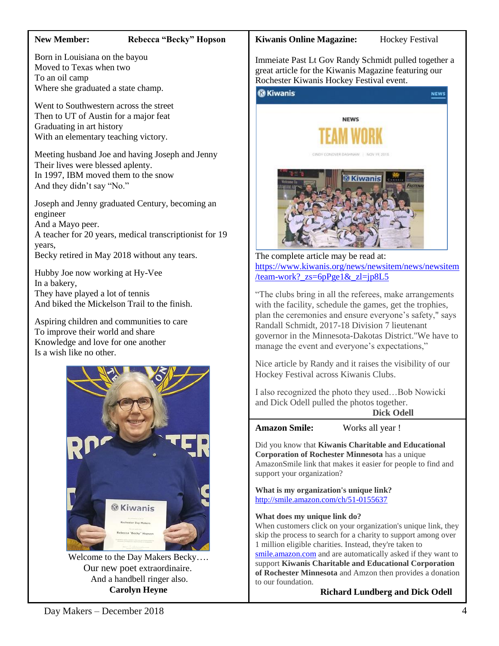#### **New Member: Rebecca "Becky" Hopson**

Born in Louisiana on the bayou Moved to Texas when two To an oil camp Where she graduated a state champ.

Went to Southwestern across the street Then to UT of Austin for a major feat Graduating in art history With an elementary teaching victory.

Meeting husband Joe and having Joseph and Jenny Their lives were blessed aplenty. In 1997, IBM moved them to the snow And they didn't say "No."

Joseph and Jenny graduated Century, becoming an engineer

And a Mayo peer.

A teacher for 20 years, medical transcriptionist for 19 years,

Becky retired in May 2018 without any tears.

Hubby Joe now working at Hy-Vee In a bakery, They have played a lot of tennis And biked the Mickelson Trail to the finish.

Aspiring children and communities to care To improve their world and share Knowledge and love for one another Is a wish like no other.



Welcome to the Day Makers Becky…. Our new poet extraordinaire. And a handbell ringer also. **Carolyn Heyne**

#### **Kiwanis Online Magazine:** Hockey Festival

*G* Kiwanis

**NEWS** 

Immeiate Past Lt Gov Randy Schmidt pulled together a great article for the Kiwanis Magazine featuring our Rochester Kiwanis Hockey Festival event.



The complete article may be read at: [https://www.kiwanis.org/news/newsitem/news/newsitem](https://www.kiwanis.org/news/newsitem/news/newsitem/team-work?_zs=6pPge1&_zl=jp8L5) /team-work?  $zs=6pPge1&z=ip8L5$ 

"The clubs bring in all the referees, make arrangements with the facility, schedule the games, get the trophies, plan the ceremonies and ensure everyone's safety," says Randall Schmidt, 2017-18 Division 7 lieutenant governor in the Minnesota-Dakotas District."We have to manage the event and everyone's expectations,"

Nice article by Randy and it raises the visibility of our Hockey Festival across Kiwanis Clubs.

I also recognized the photo they used…Bob Nowicki and Dick Odell pulled the photos together. **Dick Odell**

**Amazon Smile:** Works all year !

Did you know that **Kiwanis Charitable and Educational Corporation of Rochester Minnesota** has a unique AmazonSmile link that makes it easier for people to find and support your organization?

**What is my organization's unique link?** <http://smile.amazon.com/ch/51-0155637>

**What does my unique link do?**

When customers click on your organization's unique link, they skip the process to search for a charity to support among over 1 million eligible charities. Instead, they're taken to [smile.amazon.com](https://smile.amazon.com/gp/r.html?C=1M6BGKMKP99H2&R=3OOD1P9TII2&T=C&U=http%3A%2F%2Fsmile.amazon.com%2Fch%2F51-0155637%3Fref_%3Dpe_732550_208697260&A=A07BESDPTSG6XGUR7AFRA4EPQQIA&H=RHUCXYVNOO7QIJMPJZAUJAGCDSWA&ref_=pe_732550_208697260) and are automatically asked if they want to support **Kiwanis Charitable and Educational Corporation of Rochester Minnesota** and Amzon then provides a donation to our foundation.

 **Richard Lundberg and Dick Odell**